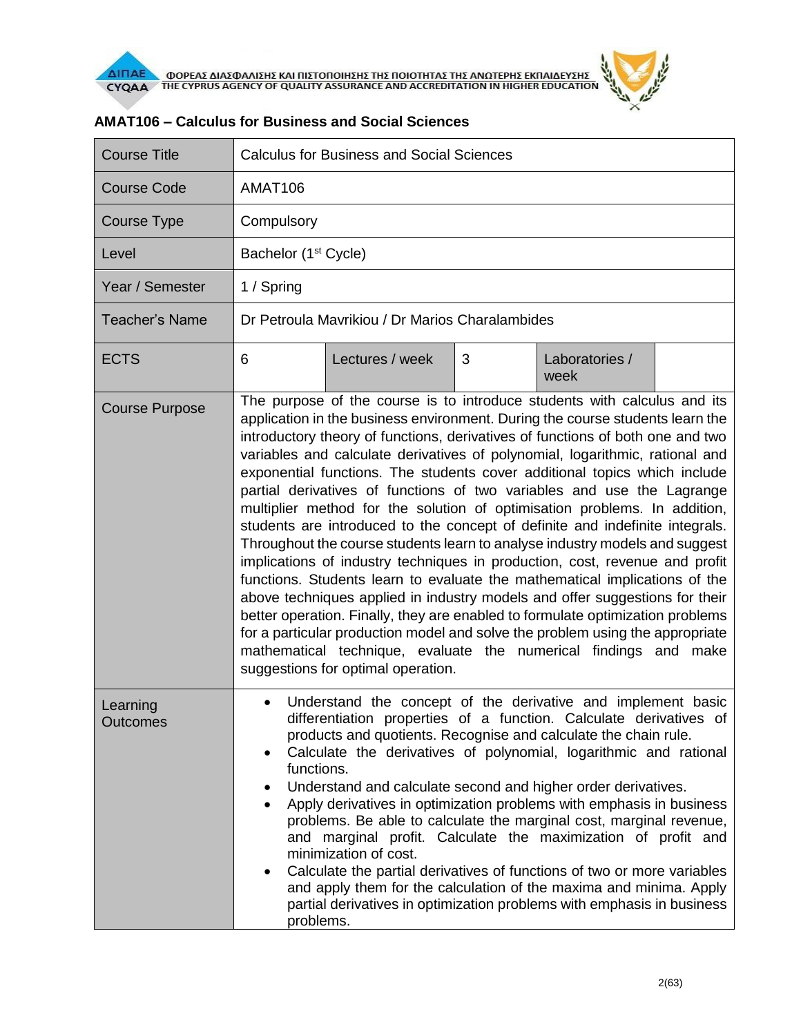

| <b>Course Title</b>         | <b>Calculus for Business and Social Sciences</b>                                                                                                                                                                                                                                                                                                                                                                                                                                                                                                                                                                                                                                                                                                                                                                                                                                                                                                                                                                                                                                                                                                                                                                                                           |                                                 |   |                        |  |  |
|-----------------------------|------------------------------------------------------------------------------------------------------------------------------------------------------------------------------------------------------------------------------------------------------------------------------------------------------------------------------------------------------------------------------------------------------------------------------------------------------------------------------------------------------------------------------------------------------------------------------------------------------------------------------------------------------------------------------------------------------------------------------------------------------------------------------------------------------------------------------------------------------------------------------------------------------------------------------------------------------------------------------------------------------------------------------------------------------------------------------------------------------------------------------------------------------------------------------------------------------------------------------------------------------------|-------------------------------------------------|---|------------------------|--|--|
| <b>Course Code</b>          | AMAT106                                                                                                                                                                                                                                                                                                                                                                                                                                                                                                                                                                                                                                                                                                                                                                                                                                                                                                                                                                                                                                                                                                                                                                                                                                                    |                                                 |   |                        |  |  |
| <b>Course Type</b>          | Compulsory                                                                                                                                                                                                                                                                                                                                                                                                                                                                                                                                                                                                                                                                                                                                                                                                                                                                                                                                                                                                                                                                                                                                                                                                                                                 |                                                 |   |                        |  |  |
| Level                       |                                                                                                                                                                                                                                                                                                                                                                                                                                                                                                                                                                                                                                                                                                                                                                                                                                                                                                                                                                                                                                                                                                                                                                                                                                                            | Bachelor (1 <sup>st</sup> Cycle)                |   |                        |  |  |
| Year / Semester             | 1 / Spring                                                                                                                                                                                                                                                                                                                                                                                                                                                                                                                                                                                                                                                                                                                                                                                                                                                                                                                                                                                                                                                                                                                                                                                                                                                 |                                                 |   |                        |  |  |
| <b>Teacher's Name</b>       |                                                                                                                                                                                                                                                                                                                                                                                                                                                                                                                                                                                                                                                                                                                                                                                                                                                                                                                                                                                                                                                                                                                                                                                                                                                            | Dr Petroula Mavrikiou / Dr Marios Charalambides |   |                        |  |  |
| <b>ECTS</b>                 | 6                                                                                                                                                                                                                                                                                                                                                                                                                                                                                                                                                                                                                                                                                                                                                                                                                                                                                                                                                                                                                                                                                                                                                                                                                                                          | Lectures / week                                 | 3 | Laboratories /<br>week |  |  |
| <b>Course Purpose</b>       | The purpose of the course is to introduce students with calculus and its<br>application in the business environment. During the course students learn the<br>introductory theory of functions, derivatives of functions of both one and two<br>variables and calculate derivatives of polynomial, logarithmic, rational and<br>exponential functions. The students cover additional topics which include<br>partial derivatives of functions of two variables and use the Lagrange<br>multiplier method for the solution of optimisation problems. In addition,<br>students are introduced to the concept of definite and indefinite integrals.<br>Throughout the course students learn to analyse industry models and suggest<br>implications of industry techniques in production, cost, revenue and profit<br>functions. Students learn to evaluate the mathematical implications of the<br>above techniques applied in industry models and offer suggestions for their<br>better operation. Finally, they are enabled to formulate optimization problems<br>for a particular production model and solve the problem using the appropriate<br>mathematical technique, evaluate the numerical findings and<br>make<br>suggestions for optimal operation. |                                                 |   |                        |  |  |
| Learning<br><b>Outcomes</b> | Understand the concept of the derivative and implement basic<br>differentiation properties of a function. Calculate derivatives of<br>products and quotients. Recognise and calculate the chain rule.<br>Calculate the derivatives of polynomial, logarithmic and rational<br>functions.<br>Understand and calculate second and higher order derivatives.<br>Apply derivatives in optimization problems with emphasis in business<br>$\bullet$<br>problems. Be able to calculate the marginal cost, marginal revenue,<br>and marginal profit. Calculate the maximization of profit and<br>minimization of cost.<br>Calculate the partial derivatives of functions of two or more variables<br>and apply them for the calculation of the maxima and minima. Apply<br>partial derivatives in optimization problems with emphasis in business<br>problems.                                                                                                                                                                                                                                                                                                                                                                                                    |                                                 |   |                        |  |  |

## **AMAT106 – Calculus for Business and Social Sciences**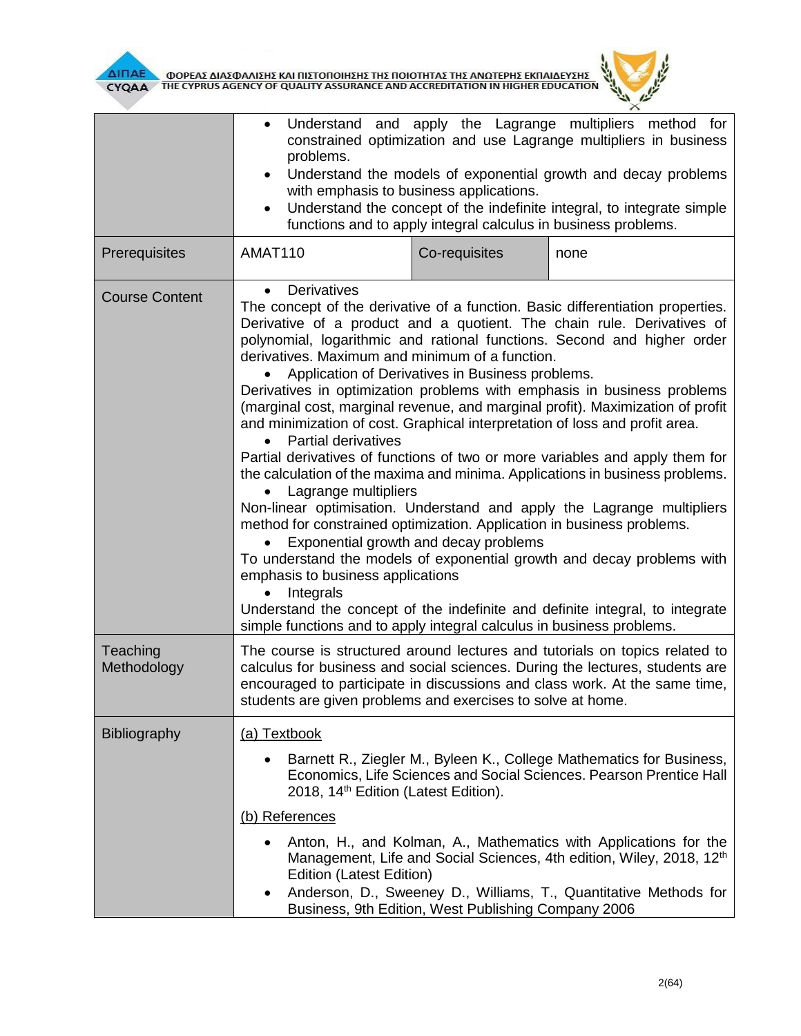

|                         | Understand and apply the Lagrange multipliers method for<br>constrained optimization and use Lagrange multipliers in business<br>problems.<br>Understand the models of exponential growth and decay problems<br>$\bullet$<br>with emphasis to business applications.<br>Understand the concept of the indefinite integral, to integrate simple<br>$\bullet$<br>functions and to apply integral calculus in business problems.                                                                                                                                                                                                                                                                                                                                                                                                                                                                                                                                                                                                                                                                                                                                                                                                                            |               |      |  |  |
|-------------------------|----------------------------------------------------------------------------------------------------------------------------------------------------------------------------------------------------------------------------------------------------------------------------------------------------------------------------------------------------------------------------------------------------------------------------------------------------------------------------------------------------------------------------------------------------------------------------------------------------------------------------------------------------------------------------------------------------------------------------------------------------------------------------------------------------------------------------------------------------------------------------------------------------------------------------------------------------------------------------------------------------------------------------------------------------------------------------------------------------------------------------------------------------------------------------------------------------------------------------------------------------------|---------------|------|--|--|
| Prerequisites           | AMAT110                                                                                                                                                                                                                                                                                                                                                                                                                                                                                                                                                                                                                                                                                                                                                                                                                                                                                                                                                                                                                                                                                                                                                                                                                                                  | Co-requisites | none |  |  |
| <b>Course Content</b>   | <b>Derivatives</b><br>$\bullet$<br>The concept of the derivative of a function. Basic differentiation properties.<br>Derivative of a product and a quotient. The chain rule. Derivatives of<br>polynomial, logarithmic and rational functions. Second and higher order<br>derivatives. Maximum and minimum of a function.<br>Application of Derivatives in Business problems.<br>Derivatives in optimization problems with emphasis in business problems<br>(marginal cost, marginal revenue, and marginal profit). Maximization of profit<br>and minimization of cost. Graphical interpretation of loss and profit area.<br><b>Partial derivatives</b><br>Partial derivatives of functions of two or more variables and apply them for<br>the calculation of the maxima and minima. Applications in business problems.<br>Lagrange multipliers<br>Non-linear optimisation. Understand and apply the Lagrange multipliers<br>method for constrained optimization. Application in business problems.<br>Exponential growth and decay problems<br>To understand the models of exponential growth and decay problems with<br>emphasis to business applications<br>Integrals<br>Understand the concept of the indefinite and definite integral, to integrate |               |      |  |  |
| Teaching<br>Methodology | The course is structured around lectures and tutorials on topics related to<br>calculus for business and social sciences. During the lectures, students are<br>encouraged to participate in discussions and class work. At the same time,<br>students are given problems and exercises to solve at home                                                                                                                                                                                                                                                                                                                                                                                                                                                                                                                                                                                                                                                                                                                                                                                                                                                                                                                                                  |               |      |  |  |
| Bibliography            | (a) Textbook<br>Barnett R., Ziegler M., Byleen K., College Mathematics for Business,<br>Economics, Life Sciences and Social Sciences. Pearson Prentice Hall<br>2018, 14 <sup>th</sup> Edition (Latest Edition).<br>(b) References<br>Anton, H., and Kolman, A., Mathematics with Applications for the<br>Management, Life and Social Sciences, 4th edition, Wiley, 2018, 12 <sup>th</sup><br><b>Edition (Latest Edition)</b><br>Anderson, D., Sweeney D., Williams, T., Quantitative Methods for<br>Business, 9th Edition, West Publishing Company 2006                                                                                                                                                                                                                                                                                                                                                                                                                                                                                                                                                                                                                                                                                                  |               |      |  |  |

 $\theta$